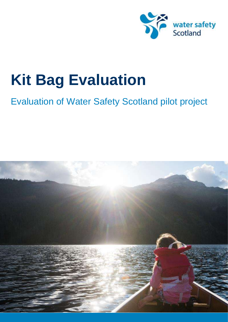

# Evaluation of Water Safety Scotland pilot project

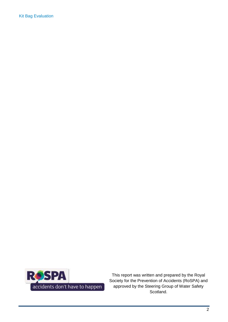

This report was written and prepared by the Royal Society for the Prevention of Accidents (RoSPA) and approved by the Steering Group of Water Safety Scotland.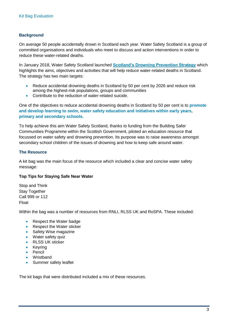# **Background**

On average 50 people accidentally drown in Scotland each year. Water Safety Scotland is a group of committed organisations and individuals who meet to discuss and action interventions in order to reduce these water-related deaths.

In January 2018, Water Safety Scotland launched **[Scotland's Drowning Prevention Strategy](http://watersafetyscotland.org.uk/media/1213/scotlands-drowning-prevention-strategy.pdf)** which highlights the aims, objectives and activities that will help reduce water-related deaths in Scotland. The strategy has two main targets:

- Reduce accidental drowning deaths in Scotland by 50 per cent by 2026 and reduce risk among the highest-risk populations, groups and communities
- Contribute to the reduction of water-related suicide.

One of the objectives to reduce accidental drowning deaths in Scotland by 50 per cent is to **promote and develop learning to swim, water safety education and initiatives within early years, primary and secondary schools.**

To help achieve this aim Water Safety Scotland, thanks to funding from the Building Safer Communities Programme within the Scottish Government, piloted an education resource that focussed on water safety and drowning prevention. Its purpose was to raise awareness amongst secondary school children of the issues of drowning and how to keep safe around water.

## **The Resource**

A kit bag was the main focus of the resource which included a clear and concise water safety message:

#### **Top Tips for Staying Safe Near Water**

Stop and Think **Stav Together** Call 999 or 112 Float

Within the bag was a number of resources from RNLI, RLSS UK and RoSPA. These included:

- Respect the Water badge
- Respect the Water sticker
- Safety Wise magazine
- Water safety quiz
- RLSS UK sticker
- Keyring
- Pencil
- Wristband
- Summer safety leaflet

The kit bags that were distributed included a mix of these resources.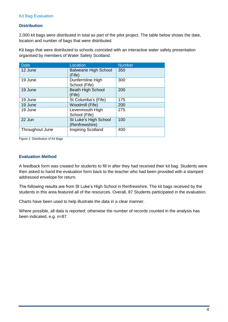## **Distribution**

2,000 kit bags were distributed in total as part of the pilot project. The table below shows the date, location and number of bags that were distributed.

Kit bags that were distributed to schools coincided with an interactive water safety presentation organised by members of Water Safety Scotland.

| <b>Date</b>     | Location                                | <b>Number</b> |
|-----------------|-----------------------------------------|---------------|
| 12 June         | <b>Balwearie High School</b><br>(Fife)  | 350           |
| 19 June         | Dunfermline High<br>School (Fife)       | 300           |
| 19 June         | <b>Beath High School</b><br>(Fife)      | 200           |
| 19 June         | St Columba's (Fife)                     | 175           |
| 19 June         | Woodmill (Fife)                         | 200           |
| 19 June         | Levenmouth High<br>School (Fife)        | 275           |
| 22 Jun          | St Luke's High School<br>(Renfrewshire) | 100           |
| Throughout June | <b>Inspiring Scotland</b>               | 400           |

Figure 1: Distribution of Kit Bags

#### **Evaluation Method**

A feedback form was created for students to fill in after they had received their kit bag. Students were then asked to hand the evaluation form back to the teacher who had been provided with a stamped addressed envelope for return.

The following results are from St Luke's High School in Renfrewshire. The kit bags received by the students in this area featured all of the resources. Overall, 87 Students participated in the evaluation.

Charts have been used to help illustrate the data in a clear manner.

Where possible, all data is reported; otherwise the number of records counted in the analysis has been indicated, e.g. n=87.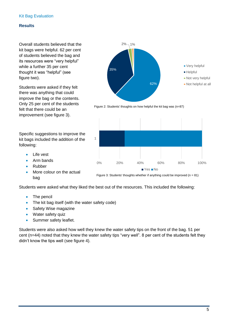#### **Results**

Overall students believed that the kit bags were helpful. 62 per cent of students believed the bag and its resources were "very helpful" while a further 35 per cent thought it was "helpful" (see figure two).

Students were asked if they felt there was anything that could improve the bag or the contents. Only 25 per cent of the students felt that there could be an improvement (see figure 3).

Specific suggestions to improve the kit bags included the addition of the following:

- Life vest
- Arm bands
- Rubber
- More colour on the actual bag



Figure 2: Students' thoughts on how helpful the kit bag was (n=87)





Students were asked what they liked the best out of the resources. This included the following:

- The pencil
- The kit bag itself (with the water safety code)
- Safety Wise magazine
- Water safety quiz
- Summer safety leaflet.

Students were also asked how well they knew the water safety tips on the front of the bag. 51 per cent (n=44) noted that they knew the water safety tips "very well". 8 per cent of the students felt they didn't know the tips well (see figure 4).